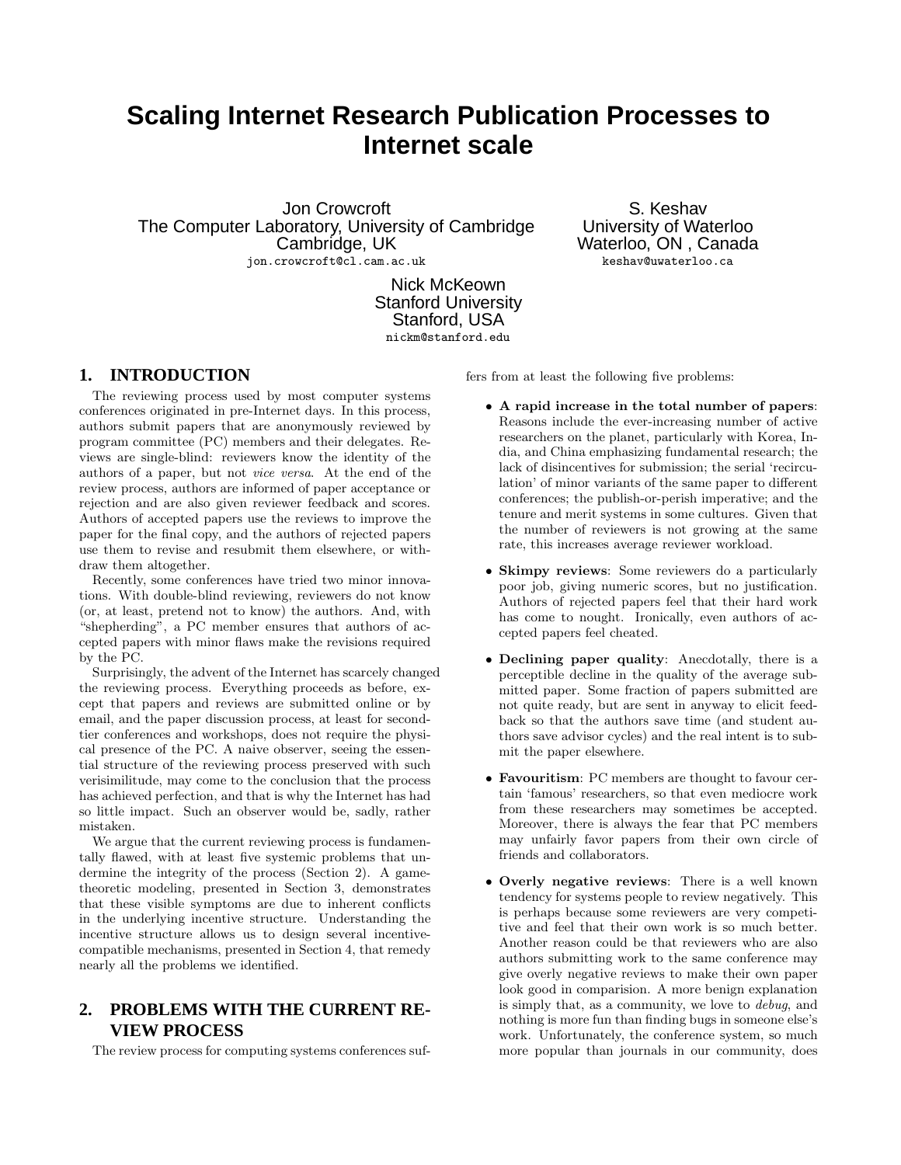# **Scaling Internet Research Publication Processes to Internet scale**

Jon Crowcroft The Computer Laboratory, University of Cambridge Cambridge, UK jon.crowcroft@cl.cam.ac.uk

S. Keshav University of Waterloo Waterloo, ON , Canada keshav@uwaterloo.ca

Nick McKeown Stanford University Stanford, USA nickm@stanford.edu

## **1. INTRODUCTION**

The reviewing process used by most computer systems conferences originated in pre-Internet days. In this process, authors submit papers that are anonymously reviewed by program committee (PC) members and their delegates. Reviews are single-blind: reviewers know the identity of the authors of a paper, but not vice versa. At the end of the review process, authors are informed of paper acceptance or rejection and are also given reviewer feedback and scores. Authors of accepted papers use the reviews to improve the paper for the final copy, and the authors of rejected papers use them to revise and resubmit them elsewhere, or withdraw them altogether.

Recently, some conferences have tried two minor innovations. With double-blind reviewing, reviewers do not know (or, at least, pretend not to know) the authors. And, with "shepherding", a PC member ensures that authors of accepted papers with minor flaws make the revisions required by the PC.

Surprisingly, the advent of the Internet has scarcely changed the reviewing process. Everything proceeds as before, except that papers and reviews are submitted online or by email, and the paper discussion process, at least for secondtier conferences and workshops, does not require the physical presence of the PC. A naive observer, seeing the essential structure of the reviewing process preserved with such verisimilitude, may come to the conclusion that the process has achieved perfection, and that is why the Internet has had so little impact. Such an observer would be, sadly, rather mistaken.

We argue that the current reviewing process is fundamentally flawed, with at least five systemic problems that undermine the integrity of the process (Section 2). A gametheoretic modeling, presented in Section 3, demonstrates that these visible symptoms are due to inherent conflicts in the underlying incentive structure. Understanding the incentive structure allows us to design several incentivecompatible mechanisms, presented in Section 4, that remedy nearly all the problems we identified.

# **2. PROBLEMS WITH THE CURRENT RE-VIEW PROCESS**

The review process for computing systems conferences suf-

fers from at least the following five problems:

- A rapid increase in the total number of papers: Reasons include the ever-increasing number of active researchers on the planet, particularly with Korea, India, and China emphasizing fundamental research; the lack of disincentives for submission; the serial 'recirculation' of minor variants of the same paper to different conferences; the publish-or-perish imperative; and the tenure and merit systems in some cultures. Given that the number of reviewers is not growing at the same rate, this increases average reviewer workload.
- Skimpy reviews: Some reviewers do a particularly poor job, giving numeric scores, but no justification. Authors of rejected papers feel that their hard work has come to nought. Ironically, even authors of accepted papers feel cheated.
- Declining paper quality: Anecdotally, there is a perceptible decline in the quality of the average submitted paper. Some fraction of papers submitted are not quite ready, but are sent in anyway to elicit feedback so that the authors save time (and student authors save advisor cycles) and the real intent is to submit the paper elsewhere.
- Favouritism: PC members are thought to favour certain 'famous' researchers, so that even mediocre work from these researchers may sometimes be accepted. Moreover, there is always the fear that PC members may unfairly favor papers from their own circle of friends and collaborators.
- Overly negative reviews: There is a well known tendency for systems people to review negatively. This is perhaps because some reviewers are very competitive and feel that their own work is so much better. Another reason could be that reviewers who are also authors submitting work to the same conference may give overly negative reviews to make their own paper look good in comparision. A more benign explanation is simply that, as a community, we love to debug, and nothing is more fun than finding bugs in someone else's work. Unfortunately, the conference system, so much more popular than journals in our community, does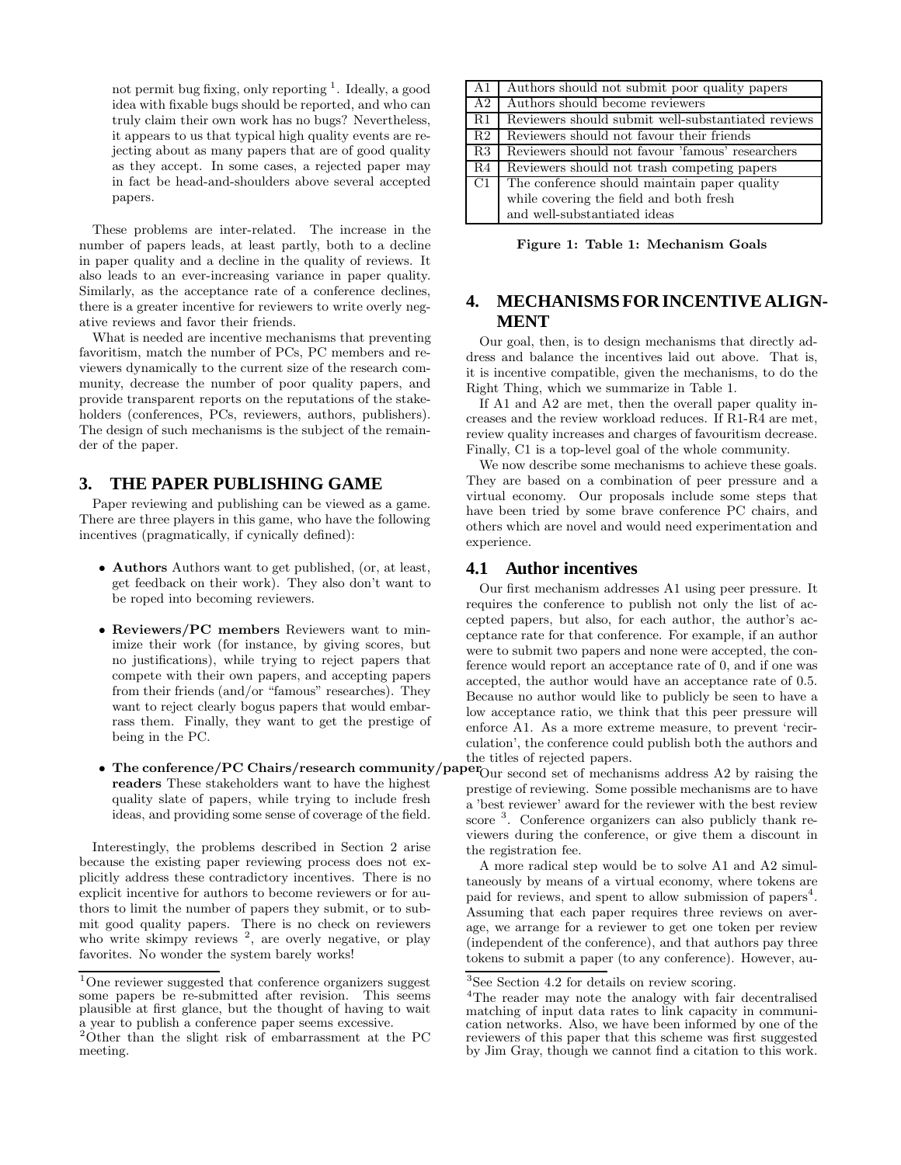not permit bug fixing, only reporting <sup>1</sup>. Ideally, a good idea with fixable bugs should be reported, and who can truly claim their own work has no bugs? Nevertheless, it appears to us that typical high quality events are rejecting about as many papers that are of good quality as they accept. In some cases, a rejected paper may in fact be head-and-shoulders above several accepted papers.

These problems are inter-related. The increase in the number of papers leads, at least partly, both to a decline in paper quality and a decline in the quality of reviews. It also leads to an ever-increasing variance in paper quality. Similarly, as the acceptance rate of a conference declines, there is a greater incentive for reviewers to write overly negative reviews and favor their friends.

What is needed are incentive mechanisms that preventing favoritism, match the number of PCs, PC members and reviewers dynamically to the current size of the research community, decrease the number of poor quality papers, and provide transparent reports on the reputations of the stakeholders (conferences, PCs, reviewers, authors, publishers). The design of such mechanisms is the subject of the remainder of the paper.

## **3. THE PAPER PUBLISHING GAME**

Paper reviewing and publishing can be viewed as a game. There are three players in this game, who have the following incentives (pragmatically, if cynically defined):

- Authors Authors want to get published, (or, at least, get feedback on their work). They also don't want to be roped into becoming reviewers.
- Reviewers/PC members Reviewers want to minimize their work (for instance, by giving scores, but no justifications), while trying to reject papers that compete with their own papers, and accepting papers from their friends (and/or "famous" researches). They want to reject clearly bogus papers that would embarrass them. Finally, they want to get the prestige of being in the PC.
- The conference/PC Chairs/research community/paper $_{\text{Our second set of mechanisms} }$  address A2 by raising the readers These stakeholders want to have the highest quality slate of papers, while trying to include fresh ideas, and providing some sense of coverage of the field.

Interestingly, the problems described in Section 2 arise because the existing paper reviewing process does not explicitly address these contradictory incentives. There is no explicit incentive for authors to become reviewers or for authors to limit the number of papers they submit, or to submit good quality papers. There is no check on reviewers who write skimpy reviews <sup>2</sup>, are overly negative, or play favorites. No wonder the system barely works!

| A1 | Authors should not submit poor quality papers      |
|----|----------------------------------------------------|
| A2 | Authors should become reviewers                    |
| R1 | Reviewers should submit well-substantiated reviews |
| R2 | Reviewers should not favour their friends          |
| R3 | Reviewers should not favour 'famous' researchers   |
| R4 | Reviewers should not trash competing papers        |
| C1 | The conference should maintain paper quality       |
|    | while covering the field and both fresh            |
|    | and well-substantiated ideas                       |

Figure 1: Table 1: Mechanism Goals

## **4. MECHANISMS FOR INCENTIVE ALIGN-MENT**

Our goal, then, is to design mechanisms that directly address and balance the incentives laid out above. That is, it is incentive compatible, given the mechanisms, to do the Right Thing, which we summarize in Table 1.

If A1 and A2 are met, then the overall paper quality increases and the review workload reduces. If R1-R4 are met, review quality increases and charges of favouritism decrease. Finally, C1 is a top-level goal of the whole community.

We now describe some mechanisms to achieve these goals. They are based on a combination of peer pressure and a virtual economy. Our proposals include some steps that have been tried by some brave conference PC chairs, and others which are novel and would need experimentation and experience.

#### **4.1 Author incentives**

Our first mechanism addresses A1 using peer pressure. It requires the conference to publish not only the list of accepted papers, but also, for each author, the author's acceptance rate for that conference. For example, if an author were to submit two papers and none were accepted, the conference would report an acceptance rate of 0, and if one was accepted, the author would have an acceptance rate of 0.5. Because no author would like to publicly be seen to have a low acceptance ratio, we think that this peer pressure will enforce A1. As a more extreme measure, to prevent 'recirculation', the conference could publish both the authors and the titles of rejected papers.

prestige of reviewing. Some possible mechanisms are to have a 'best reviewer' award for the reviewer with the best review score<sup>3</sup>. Conference organizers can also publicly thank reviewers during the conference, or give them a discount in the registration fee.

A more radical step would be to solve A1 and A2 simultaneously by means of a virtual economy, where tokens are paid for reviews, and spent to allow submission of papers<sup>4</sup>. Assuming that each paper requires three reviews on average, we arrange for a reviewer to get one token per review (independent of the conference), and that authors pay three tokens to submit a paper (to any conference). However, au-

 $^1 \rm{One}$  reviewer suggested that conference organizers suggest some papers be re-submitted after revision. This seems plausible at first glance, but the thought of having to wait a year to publish a conference paper seems excessive. <sup>2</sup>Other than the slight risk of embarrassment at the PC

meeting.

<sup>3</sup>See Section 4.2 for details on review scoring.

<sup>4</sup>The reader may note the analogy with fair decentralised matching of input data rates to link capacity in communication networks. Also, we have been informed by one of the reviewers of this paper that this scheme was first suggested by Jim Gray, though we cannot find a citation to this work.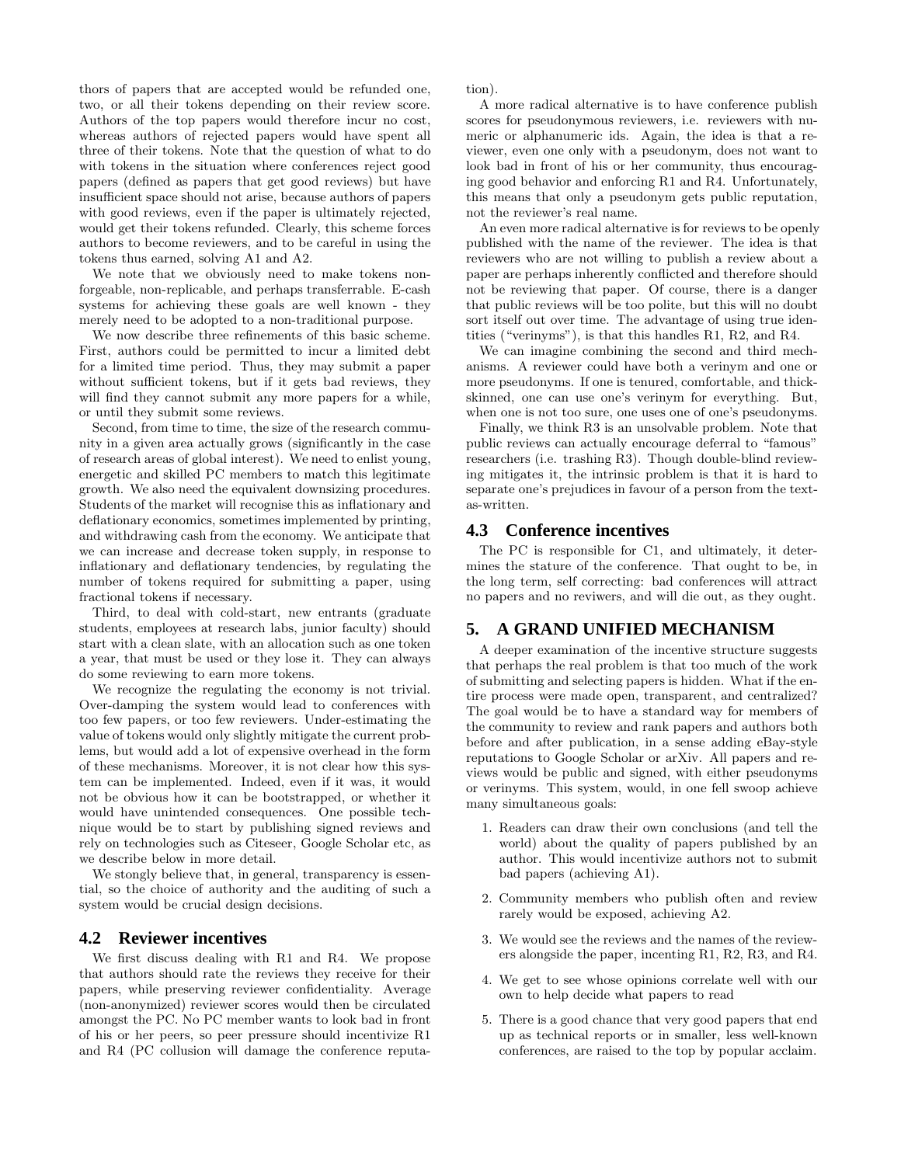thors of papers that are accepted would be refunded one, two, or all their tokens depending on their review score. Authors of the top papers would therefore incur no cost, whereas authors of rejected papers would have spent all three of their tokens. Note that the question of what to do with tokens in the situation where conferences reject good papers (defined as papers that get good reviews) but have insufficient space should not arise, because authors of papers with good reviews, even if the paper is ultimately rejected, would get their tokens refunded. Clearly, this scheme forces authors to become reviewers, and to be careful in using the tokens thus earned, solving A1 and A2.

We note that we obviously need to make tokens nonforgeable, non-replicable, and perhaps transferrable. E-cash systems for achieving these goals are well known - they merely need to be adopted to a non-traditional purpose.

We now describe three refinements of this basic scheme. First, authors could be permitted to incur a limited debt for a limited time period. Thus, they may submit a paper without sufficient tokens, but if it gets bad reviews, they will find they cannot submit any more papers for a while, or until they submit some reviews.

Second, from time to time, the size of the research community in a given area actually grows (significantly in the case of research areas of global interest). We need to enlist young, energetic and skilled PC members to match this legitimate growth. We also need the equivalent downsizing procedures. Students of the market will recognise this as inflationary and deflationary economics, sometimes implemented by printing, and withdrawing cash from the economy. We anticipate that we can increase and decrease token supply, in response to inflationary and deflationary tendencies, by regulating the number of tokens required for submitting a paper, using fractional tokens if necessary.

Third, to deal with cold-start, new entrants (graduate students, employees at research labs, junior faculty) should start with a clean slate, with an allocation such as one token a year, that must be used or they lose it. They can always do some reviewing to earn more tokens.

We recognize the regulating the economy is not trivial. Over-damping the system would lead to conferences with too few papers, or too few reviewers. Under-estimating the value of tokens would only slightly mitigate the current problems, but would add a lot of expensive overhead in the form of these mechanisms. Moreover, it is not clear how this system can be implemented. Indeed, even if it was, it would not be obvious how it can be bootstrapped, or whether it would have unintended consequences. One possible technique would be to start by publishing signed reviews and rely on technologies such as Citeseer, Google Scholar etc, as we describe below in more detail.

We stongly believe that, in general, transparency is essential, so the choice of authority and the auditing of such a system would be crucial design decisions.

#### **4.2 Reviewer incentives**

We first discuss dealing with R1 and R4. We propose that authors should rate the reviews they receive for their papers, while preserving reviewer confidentiality. Average (non-anonymized) reviewer scores would then be circulated amongst the PC. No PC member wants to look bad in front of his or her peers, so peer pressure should incentivize R1 and R4 (PC collusion will damage the conference reputation).

A more radical alternative is to have conference publish scores for pseudonymous reviewers, i.e. reviewers with numeric or alphanumeric ids. Again, the idea is that a reviewer, even one only with a pseudonym, does not want to look bad in front of his or her community, thus encouraging good behavior and enforcing R1 and R4. Unfortunately, this means that only a pseudonym gets public reputation, not the reviewer's real name.

An even more radical alternative is for reviews to be openly published with the name of the reviewer. The idea is that reviewers who are not willing to publish a review about a paper are perhaps inherently conflicted and therefore should not be reviewing that paper. Of course, there is a danger that public reviews will be too polite, but this will no doubt sort itself out over time. The advantage of using true identities ("verinyms"), is that this handles R1, R2, and R4.

We can imagine combining the second and third mechanisms. A reviewer could have both a verinym and one or more pseudonyms. If one is tenured, comfortable, and thickskinned, one can use one's verinym for everything. But, when one is not too sure, one uses one of one's pseudonyms.

Finally, we think R3 is an unsolvable problem. Note that public reviews can actually encourage deferral to "famous" researchers (i.e. trashing R3). Though double-blind reviewing mitigates it, the intrinsic problem is that it is hard to separate one's prejudices in favour of a person from the textas-written.

#### **4.3 Conference incentives**

The PC is responsible for C1, and ultimately, it determines the stature of the conference. That ought to be, in the long term, self correcting: bad conferences will attract no papers and no reviwers, and will die out, as they ought.

## **5. A GRAND UNIFIED MECHANISM**

A deeper examination of the incentive structure suggests that perhaps the real problem is that too much of the work of submitting and selecting papers is hidden. What if the entire process were made open, transparent, and centralized? The goal would be to have a standard way for members of the community to review and rank papers and authors both before and after publication, in a sense adding eBay-style reputations to Google Scholar or arXiv. All papers and reviews would be public and signed, with either pseudonyms or verinyms. This system, would, in one fell swoop achieve many simultaneous goals:

- 1. Readers can draw their own conclusions (and tell the world) about the quality of papers published by an author. This would incentivize authors not to submit bad papers (achieving A1).
- 2. Community members who publish often and review rarely would be exposed, achieving A2.
- 3. We would see the reviews and the names of the reviewers alongside the paper, incenting R1, R2, R3, and R4.
- 4. We get to see whose opinions correlate well with our own to help decide what papers to read
- 5. There is a good chance that very good papers that end up as technical reports or in smaller, less well-known conferences, are raised to the top by popular acclaim.